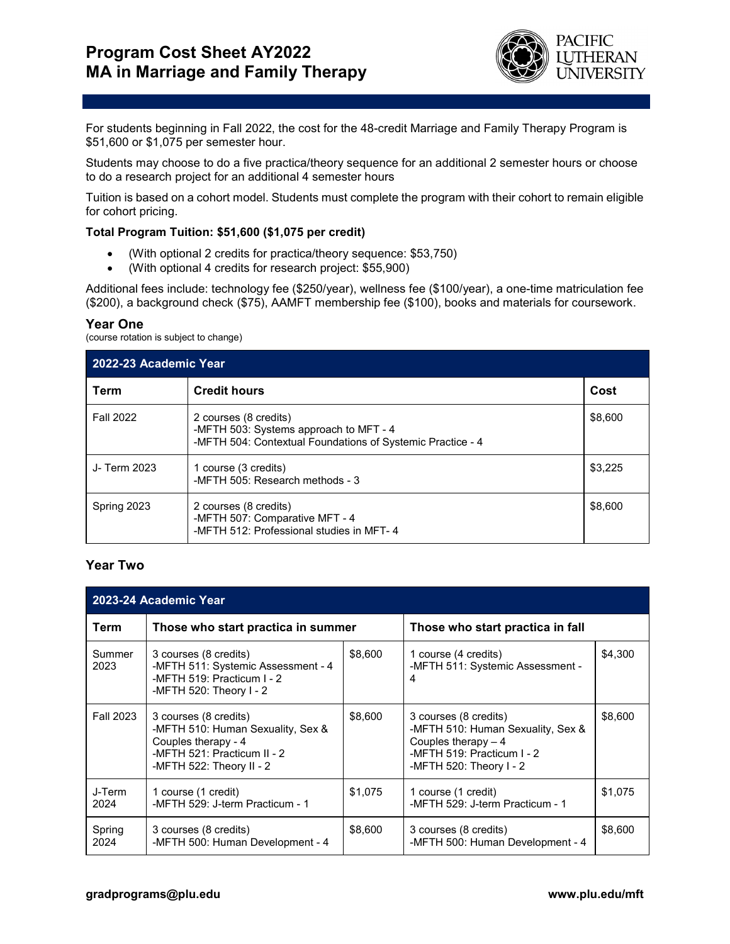

For students beginning in Fall 2022, the cost for the 48-credit Marriage and Family Therapy Program is \$51,600 or \$1,075 per semester hour.

Students may choose to do a five practica/theory sequence for an additional 2 semester hours or choose to do a research project for an additional 4 semester hours

Tuition is based on a cohort model. Students must complete the program with their cohort to remain eligible for cohort pricing.

## **Total Program Tuition: \$51,600 (\$1,075 per credit)**

- (With optional 2 credits for practica/theory sequence: \$53,750)
- (With optional 4 credits for research project: \$55,900)

Additional fees include: technology fee (\$250/year), wellness fee (\$100/year), a one-time matriculation fee (\$200), a background check (\$75), AAMFT membership fee (\$100), books and materials for coursework.

## **Year One**

(course rotation is subject to change)

| 2022-23 Academic Year |                                                                                                                               |         |  |  |  |
|-----------------------|-------------------------------------------------------------------------------------------------------------------------------|---------|--|--|--|
| Term                  | <b>Credit hours</b>                                                                                                           | Cost    |  |  |  |
| <b>Fall 2022</b>      | 2 courses (8 credits)<br>-MFTH 503: Systems approach to MFT - 4<br>-MFTH 504: Contextual Foundations of Systemic Practice - 4 | \$8,600 |  |  |  |
| J- Term 2023          | 1 course (3 credits)<br>-MFTH 505: Research methods - 3                                                                       | \$3,225 |  |  |  |
| Spring 2023           | 2 courses (8 credits)<br>-MFTH 507: Comparative MFT - 4<br>-MFTH 512: Professional studies in MFT-4                           | \$8,600 |  |  |  |

## **Year Two**

| 2023-24 Academic Year |                                                                                                                                              |         |                                                                                                                                             |         |  |  |  |  |
|-----------------------|----------------------------------------------------------------------------------------------------------------------------------------------|---------|---------------------------------------------------------------------------------------------------------------------------------------------|---------|--|--|--|--|
| Term                  | Those who start practica in summer                                                                                                           |         | Those who start practica in fall                                                                                                            |         |  |  |  |  |
| Summer<br>2023        | 3 courses (8 credits)<br>-MFTH 511: Systemic Assessment - 4<br>-MFTH 519: Practicum I - 2<br>-MFTH 520: Theory I - 2                         | \$8,600 | 1 course (4 credits)<br>-MFTH 511: Systemic Assessment -<br>4                                                                               | \$4,300 |  |  |  |  |
| <b>Fall 2023</b>      | 3 courses (8 credits)<br>-MFTH 510: Human Sexuality, Sex &<br>Couples therapy - 4<br>-MFTH 521: Practicum II - 2<br>-MFTH 522: Theory II - 2 | \$8,600 | 3 courses (8 credits)<br>-MFTH 510: Human Sexuality, Sex &<br>Couples therapy $-4$<br>-MFTH 519: Practicum I - 2<br>-MFTH 520: Theory I - 2 | \$8,600 |  |  |  |  |
| J-Term<br>2024        | 1 course (1 credit)<br>-MFTH 529: J-term Practicum - 1                                                                                       | \$1,075 | 1 course (1 credit)<br>-MFTH 529: J-term Practicum - 1                                                                                      | \$1,075 |  |  |  |  |
| Spring<br>2024        | 3 courses (8 credits)<br>-MFTH 500: Human Development - 4                                                                                    | \$8,600 | 3 courses (8 credits)<br>-MFTH 500: Human Development - 4                                                                                   | \$8,600 |  |  |  |  |